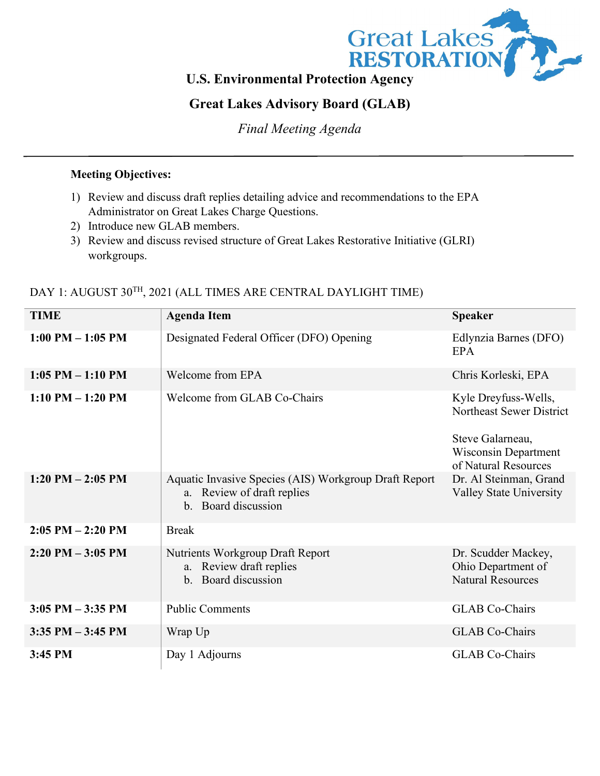

# **Great Lakes Advisory Board (GLAB)**

*Final Meeting Agenda*

### **Meeting Objectives:**

- 1) Review and discuss draft replies detailing advice and recommendations to the EPA Administrator on Great Lakes Charge Questions.
- 2) Introduce new GLAB members.
- 3) Review and discuss revised structure of Great Lakes Restorative Initiative (GLRI) workgroups.

| <b>TIME</b>           | <b>Agenda Item</b>                                                                                                        | <b>Speaker</b>                                                          |
|-----------------------|---------------------------------------------------------------------------------------------------------------------------|-------------------------------------------------------------------------|
| $1:00$ PM $-1:05$ PM  | Designated Federal Officer (DFO) Opening                                                                                  | Edlynzia Barnes (DFO)<br><b>EPA</b>                                     |
| $1:05$ PM $-1:10$ PM  | Welcome from EPA                                                                                                          | Chris Korleski, EPA                                                     |
| $1:10$ PM $-1:20$ PM  | Welcome from GLAB Co-Chairs                                                                                               | Kyle Dreyfuss-Wells,<br>Northeast Sewer District                        |
|                       |                                                                                                                           | Steve Galarneau,<br><b>Wisconsin Department</b><br>of Natural Resources |
| $1:20$ PM $- 2:05$ PM | Aquatic Invasive Species (AIS) Workgroup Draft Report<br>a. Review of draft replies<br>Board discussion<br>$\mathbf{b}$ . | Dr. Al Steinman, Grand<br><b>Valley State University</b>                |
| $2:05$ PM $- 2:20$ PM | <b>Break</b>                                                                                                              |                                                                         |
| $2:20$ PM $-3:05$ PM  | Nutrients Workgroup Draft Report<br>a. Review draft replies<br>b. Board discussion                                        | Dr. Scudder Mackey,<br>Ohio Department of<br><b>Natural Resources</b>   |
| $3:05$ PM $-3:35$ PM  | <b>Public Comments</b>                                                                                                    | <b>GLAB</b> Co-Chairs                                                   |
| $3:35$ PM $-3:45$ PM  | Wrap Up                                                                                                                   | <b>GLAB</b> Co-Chairs                                                   |
| 3:45 PM               | Day 1 Adjourns                                                                                                            | <b>GLAB</b> Co-Chairs                                                   |

### DAY 1: AUGUST 30<sup>TH</sup>, 2021 (ALL TIMES ARE CENTRAL DAYLIGHT TIME)